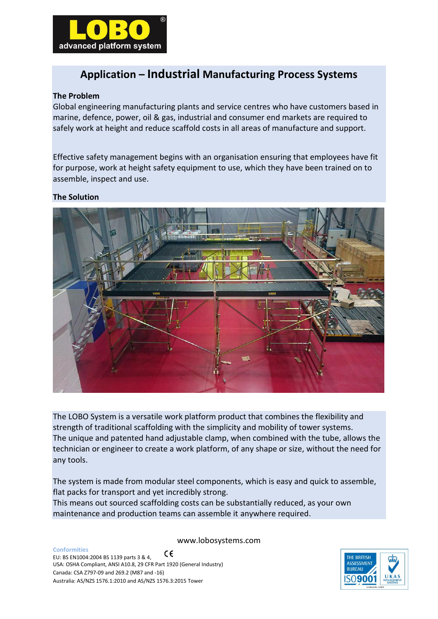

# **Application – Industrial Manufacturing Process Systems**

### **The Problem**

Global engineering manufacturing plants and service centres who have customers based in marine, defence, power, oil & gas, industrial and consumer end markets are required to safely work at height and reduce scaffold costs in all areas of manufacture and support.

Effective safety management begins with an organisation ensuring that employees have fit for purpose, work at height safety equipment to use, which they have been trained on to assemble, inspect and use.

#### **The Solution**



The LOBO System is a versatile work platform product that combines the flexibility and strength of traditional scaffolding with the simplicity and mobility of tower systems. The unique and patented hand adjustable clamp, when combined with the tube, allows the technician or engineer to create a work platform, of any shape or size, without the need for any tools.

The system is made from modular steel components, which is easy and quick to assemble, flat packs for transport and yet incredibly strong.

This means out sourced scaffolding costs can be substantially reduced, as your own maintenance and production teams can assemble it anywhere required.

www.lobosystems.com